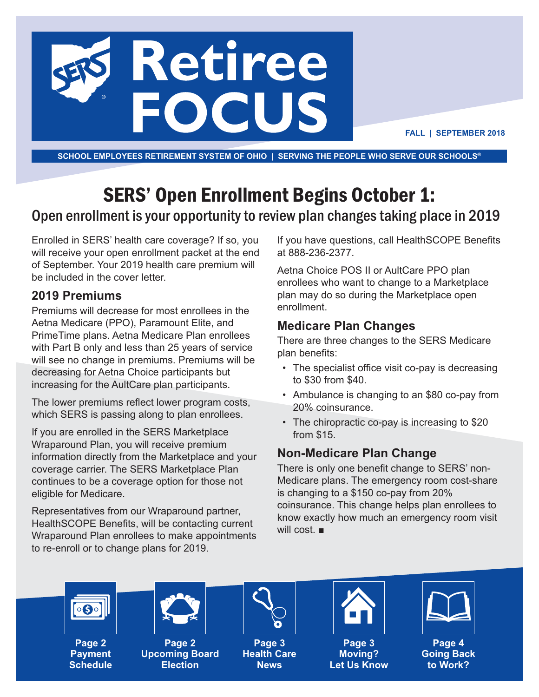

**FALL | SEPTEMBER 2018**

**SCHOOL EMPLOYEES RETIREMENT SYSTEM OF OHIO | SERVING THE PEOPLE WHO SERVE OUR SCHOOLS®**

## SERS' Open Enrollment Begins October 1:

## Open enrollment is your opportunity to review plan changes taking place in 2019

Enrolled in SERS' health care coverage? If so, you will receive your open enrollment packet at the end of September. Your 2019 health care premium will be included in the cover letter.

#### **2019 Premiums**

Premiums will decrease for most enrollees in the Aetna Medicare (PPO), Paramount Elite, and PrimeTime plans. Aetna Medicare Plan enrollees with Part B only and less than 25 years of service will see no change in premiums. Premiums will be decreasing for Aetna Choice participants but increasing for the AultCare plan participants.

The lower premiums reflect lower program costs, which SERS is passing along to plan enrollees.

If you are enrolled in the SERS Marketplace Wraparound Plan, you will receive premium information directly from the Marketplace and your coverage carrier. The SERS Marketplace Plan continues to be a coverage option for those not eligible for Medicare.

Representatives from our Wraparound partner, HealthSCOPE Benefits, will be contacting current Wraparound Plan enrollees to make appointments to re-enroll or to change plans for 2019.

If you have questions, call HealthSCOPE Benefits at 888-236-2377.

Aetna Choice POS II or AultCare PPO plan enrollees who want to change to a Marketplace plan may do so during the Marketplace open enrollment.

### **Medicare Plan Changes**

There are three changes to the SERS Medicare plan benefits:

- The specialist office visit co-pay is decreasing to \$30 from \$40.
- Ambulance is changing to an \$80 co-pay from 20% coinsurance.
- The chiropractic co-pay is increasing to \$20 from \$15.

#### **Non-Medicare Plan Change**

There is only one benefit change to SERS' non-Medicare plans. The emergency room cost-share is changing to a \$150 co-pay from 20% coinsurance. This change helps plan enrollees to know exactly how much an emergency room visit will cost. ■



**Page 2 Payment Schedule**



**Page 2 Upcoming Board Election**



**Page 3 Health Care News**



**Page 3 Moving? Let Us Know**



**Page 4 Going Back to Work?**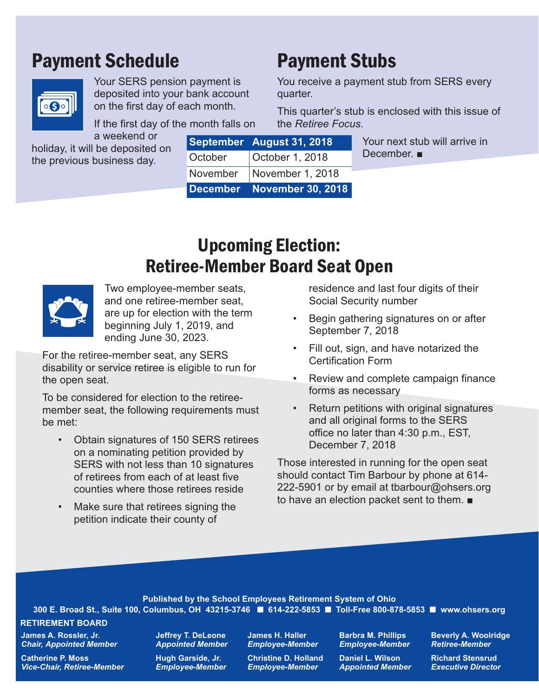## Payment Schedule



Your SERS pension payment is deposited into your bank account on the first day of each month.

If the first day of the month falls on

a weekend or holiday, it will be deposited on the previous business day.

|         | September August 31, 2018   | Your next stub will arrive in<br>December. $\blacksquare$ |
|---------|-----------------------------|-----------------------------------------------------------|
| October | October 1, 2018             |                                                           |
|         | November   November 1, 2018 |                                                           |
|         | December November 30, 2018  |                                                           |

Payment Stubs

the *Retiree Focus*.

quarter.

## Upcoming Election: Retiree-Member Board Seat Open



Two employee-member seats, and one retiree-member seat, are up for election with the term beginning July 1, 2019, and ending June 30, 2023.

For the retiree-member seat, any SERS disability or service retiree is eligible to run for the open seat.

To be considered for election to the retireemember seat, the following requirements must be met:

- Obtain signatures of 150 SERS retirees on a nominating petition provided by SERS with not less than 10 signatures of retirees from each of at least five counties where those retirees reside
- Make sure that retirees signing the petition indicate their county of

residence and last four digits of their Social Security number

You receive a payment stub from SERS every

This quarter's stub is enclosed with this issue of

- Begin gathering signatures on or after September 7, 2018
- Fill out, sign, and have notarized the Certification Form
- Review and complete campaign finance forms as necessary
- Return petitions with original signatures and all original forms to the SERS office no later than 4:30 p.m., EST, December 7, 2018

Those interested in running for the open seat should contact Tim Barbour by phone at 614- 222-5901 or by email at tbarbour@ohsers.org to have an election packet sent to them. ■

**Published by the School Employees Retirement System of Ohio 300 E. Broad St., Suite 100, Columbus, OH 43215-3746** ■ **614-222-5853** ■ **Toll-Free 800-878-5853** ■ **www.ohsers.org**

#### **RETIREMENT BOARD**

**James A. Rossler, Jr.** *Chair, Appointed Member*

**Catherine P. Moss** *Vice-Chair, Retiree-Member* **Jeffrey T. DeLeone** *Appointed Member*

**Hugh Garside, Jr.** *Employee-Member*  **James H. Haller** *Employee-Member*

**Christine D. Holland** *Employee-Member*

**Barbra M. Phillips** *Employee-Member*

**Daniel L. Wilson** *Appointed Member*

**Beverly A. Woolridge** *Retiree-Member*

**Richard Stensrud** *Executive Director*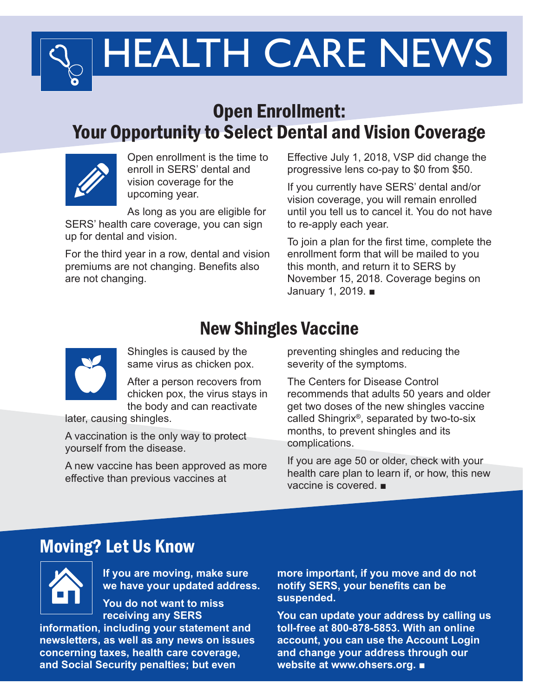# HEALTH CARE NEWS

## Open Enrollment: Your Opportunity to Select Dental and Vision Coverage



Open enrollment is the time to enroll in SERS' dental and vision coverage for the upcoming year.

As long as you are eligible for SERS' health care coverage, you can sign

up for dental and vision.

For the third year in a row, dental and vision premiums are not changing. Benefits also are not changing.

Effective July 1, 2018, VSP did change the progressive lens co-pay to \$0 from \$50.

If you currently have SERS' dental and/or vision coverage, you will remain enrolled until you tell us to cancel it. You do not have to re-apply each year.

To join a plan for the first time, complete the enrollment form that will be mailed to you this month, and return it to SERS by November 15, 2018. Coverage begins on January 1, 2019. ■

## New Shingles Vaccine



Shingles is caused by the same virus as chicken pox.

After a person recovers from chicken pox, the virus stays in the body and can reactivate

later, causing shingles.

A vaccination is the only way to protect yourself from the disease.

A new vaccine has been approved as more effective than previous vaccines at

preventing shingles and reducing the severity of the symptoms.

The Centers for Disease Control recommends that adults 50 years and older get two doses of the new shingles vaccine called Shingrix®, separated by two-to-six months, to prevent shingles and its complications.

If you are age 50 or older, check with your health care plan to learn if, or how, this new vaccine is covered. ■

## Moving? Let Us Know



**If you are moving, make sure we have your updated address.**

**You do not want to miss receiving any SERS**

**information, including your statement and newsletters, as well as any news on issues concerning taxes, health care coverage, and Social Security penalties; but even**

**more important, if you move and do not notify SERS, your benefits can be suspended.** 

**You can update your address by calling us toll-free at 800-878-5853. With an online account, you can use the Account Login and change your address through our website at www.ohsers.org.** ■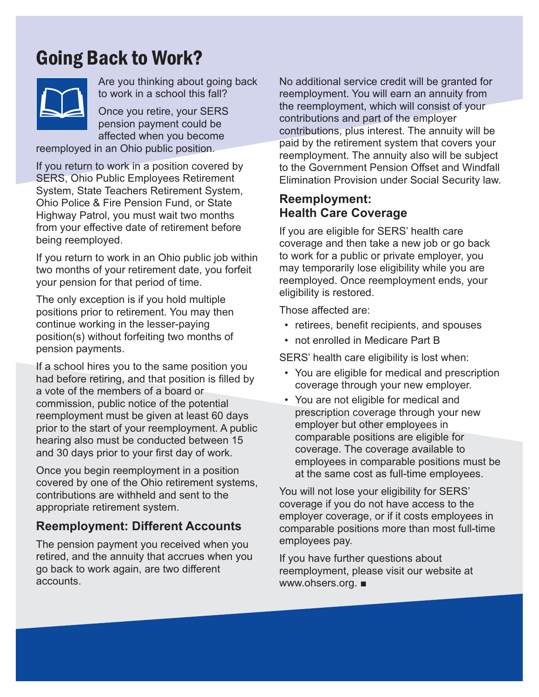## Going Back to Work?



Are you thinking about going back to work in a school this fall?

Once you retire, your SERS pension payment could be affected when you become

reemployed in an Ohio public position.

If you return to work in a position covered by SERS, Ohio Public Employees Retirement System, State Teachers Retirement System, Ohio Police & Fire Pension Fund, or State Highway Patrol, you must wait two months from your effective date of retirement before being reemployed.

If you return to work in an Ohio public job within two months of your retirement date, you forfeit your pension for that period of time.

The only exception is if you hold multiple positions prior to retirement. You may then continue working in the lesser-paying position(s) without forfeiting two months of pension payments.

If a school hires you to the same position you had before retiring, and that position is filled by a vote of the members of a board or commission, public notice of the potential reemployment must be given at least 60 days prior to the start of your reemployment. A public hearing also must be conducted between 15 and 30 days prior to your first day of work.

Once you begin reemployment in a position covered by one of the Ohio retirement systems, contributions are withheld and sent to the appropriate retirement system.

### **Reemployment: Different Accounts**

The pension payment you received when you retired, and the annuity that accrues when you go back to work again, are two different accounts.

No additional service credit will be granted for reemployment. You will earn an annuity from the reemployment, which will consist of your contributions and part of the employer contributions, plus interest. The annuity will be paid by the retirement system that covers your reemployment. The annuity also will be subject to the Government Pension Offset and Windfall Elimination Provision under Social Security law.

#### **Reemployment: Health Care Coverage**

If you are eligible for SERS' health care coverage and then take a new job or go back to work for a public or private employer, you may temporarily lose eligibility while you are reemployed. Once reemployment ends, your eligibility is restored.

Those affected are:

- retirees, benefit recipients, and spouses
- not enrolled in Medicare Part B

SERS' health care eligibility is lost when:

- You are eligible for medical and prescription coverage through your new employer.
- You are not eligible for medical and prescription coverage through your new employer but other employees in comparable positions are eligible for coverage. The coverage available to employees in comparable positions must be at the same cost as full-time employees.

You will not lose your eligibility for SERS' coverage if you do not have access to the employer coverage, or if it costs employees in comparable positions more than most full-time employees pay.

If you have further questions about reemployment, please visit our website at www.ohsers.org. ■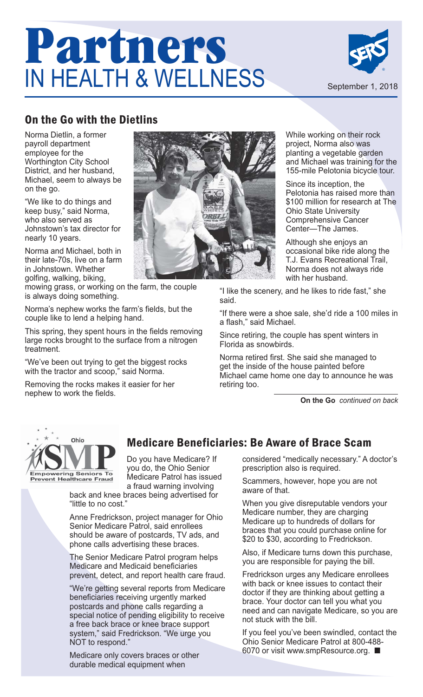## **Partners**  IN HEALTH & WELLNESS



## On the Go with the Dietlins

Norma Dietlin, a former payroll department employee for the Worthington City School District, and her husband, Michael, seem to always be on the go.

"We like to do things and keep busy," said Norma, who also served as Johnstown's tax director for nearly 10 years.

Norma and Michael, both in their late-70s, live on a farm in Johnstown. Whether golfing, walking, biking,

mowing grass, or working on the farm, the couple is always doing something.

Norma's nephew works the farm's fields, but the couple like to lend a helping hand.

This spring, they spent hours in the fields removing large rocks brought to the surface from a nitrogen treatment.

"We've been out trying to get the biggest rocks with the tractor and scoop," said Norma.

Removing the rocks makes it easier for her nephew to work the fields.



While working on their rock project, Norma also was planting a vegetable garden and Michael was training for the 155-mile Pelotonia bicycle tour.

Since its inception, the Pelotonia has raised more than \$100 million for research at The Ohio State University Comprehensive Cancer Center—The James.

Although she enjoys an occasional bike ride along the T.J. Evans Recreational Trail, Norma does not always ride with her husband.

"I like the scenery, and he likes to ride fast," she said.

"If there were a shoe sale, she'd ride a 100 miles in a flash," said Michael.

Since retiring, the couple has spent winters in Florida as snowbirds.

Norma retired first. She said she managed to get the inside of the house painted before Michael came home one day to announce he was retiring too.

**On the Go** *continued on back*



Do you have Medicare? If Medicare Beneficiaries: Be Aware of Brace Scam

you do, the Ohio Senior Medicare Patrol has issued a fraud warning involving back and knee braces being advertised for

"little to no cost."

Anne Fredrickson, project manager for Ohio Senior Medicare Patrol, said enrollees should be aware of postcards, TV ads, and phone calls advertising these braces.

The Senior Medicare Patrol program helps Medicare and Medicaid beneficiaries prevent, detect, and report health care fraud.

"We're getting several reports from Medicare beneficiaries receiving urgently marked postcards and phone calls regarding a special notice of pending eligibility to receive a free back brace or knee brace support system," said Fredrickson. "We urge you NOT to respond."

Medicare only covers braces or other durable medical equipment when

#### considered "medically necessary." A doctor's prescription also is required.

Scammers, however, hope you are not aware of that.

When you give disreputable vendors your Medicare number, they are charging Medicare up to hundreds of dollars for braces that you could purchase online for \$20 to \$30, according to Fredrickson.

Also, if Medicare turns down this purchase, you are responsible for paying the bill.

Fredrickson urges any Medicare enrollees with back or knee issues to contact their doctor if they are thinking about getting a brace. Your doctor can tell you what you need and can navigate Medicare, so you are not stuck with the bill.

If you feel you've been swindled, contact the Ohio Senior Medicare Patrol at 800-488- 6070 or visit www.smpResource.org. ■